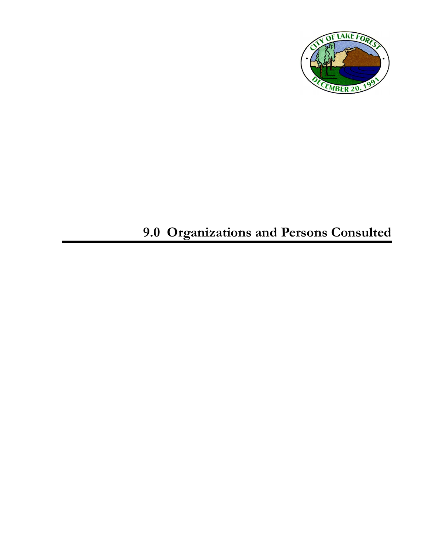

# **9.0 Organizations and Persons Consulted**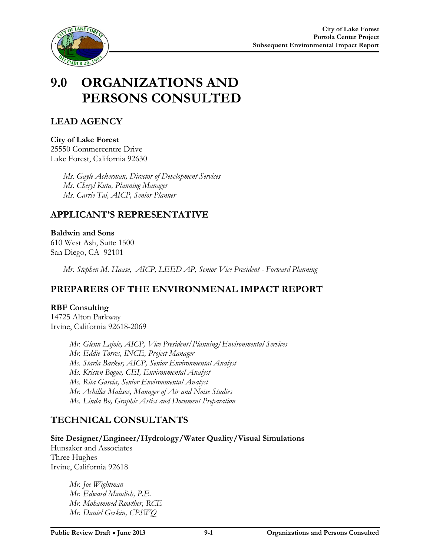



## **9.0 ORGANIZATIONS AND PERSONS CONSULTED**

## **LEAD AGENCY**

**City of Lake Forest** 25550 Commercentre Drive Lake Forest, California 92630

> *Ms. Gayle Ackerman, Director of Development Services Ms. Cheryl Kuta, Planning Manager Ms. Carrie Tai, AICP, Senior Planner*

### **APPLICANT'S REPRESENTATIVE**

#### **Baldwin and Sons**  610 West Ash, Suite 1500 San Diego, CA 92101

*Mr. Stephen M. Haase, AICP, LEED AP, Senior Vice President - Forward Planning*

## **PREPARERS OF THE ENVIRONMENAL IMPACT REPORT**

#### **RBF Consulting**

14725 Alton Parkway Irvine, California 92618-2069

> *Mr. Glenn Lajoie, AICP, Vice President/Planning/Environmental Services Mr. Eddie Torres, INCE, Project Manager Ms. Starla Barker, AICP, Senior Environmental Analyst Ms. Kristen Bogue, CEI, Environmental Analyst Ms. Rita Garcia, Senior Environmental Analyst Mr. Achilles Malisos, Manager of Air and Noise Studies Ms. Linda Bo, Graphic Artist and Document Preparation*

## **TECHNICAL CONSULTANTS**

**Site Designer/Engineer/Hydrology/Water Quality/Visual Simulations**

Hunsaker and Associates Three Hughes Irvine, California 92618

> *Mr. Joe Wightman Mr. Edward Mandich, P.E. Mr. Mohammed Rowther, RCE Mr. Daniel Gerkin, CPSWQ*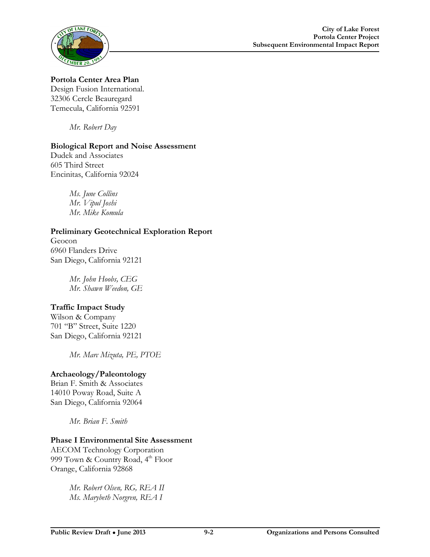

**Portola Center Area Plan** Design Fusion International. 32306 Cercle Beauregard Temecula, California 92591

*Mr. Robert Day*

#### **Biological Report and Noise Assessment**

Dudek and Associates 605 Third Street Encinitas, California 92024

> *Ms. June Collins Mr. Vipul Joshi Mr. Mike Komula*

**Preliminary Geotechnical Exploration Report** Geocon 6960 Flanders Drive San Diego, California 92121

> *Mr. John Hoobs, CEG Mr. Shawn Weedon, GE*

#### **Traffic Impact Study**

Wilson & Company 701 "B" Street, Suite 1220 San Diego, California 92121

*Mr. Marc Mizuta, PE, PTOE*

#### **Archaeology/Paleontology**

Brian F. Smith & Associates 14010 Poway Road, Suite A San Diego, California 92064

*Mr. Brian F. Smith*

#### **Phase I Environmental Site Assessment**

AECOM Technology Corporation 999 Town & Country Road,  $4<sup>th</sup>$  Floor Orange, California 92868

> *Mr. Robert Olsen, RG, REA II Ms. Marybeth Norgren, REA I*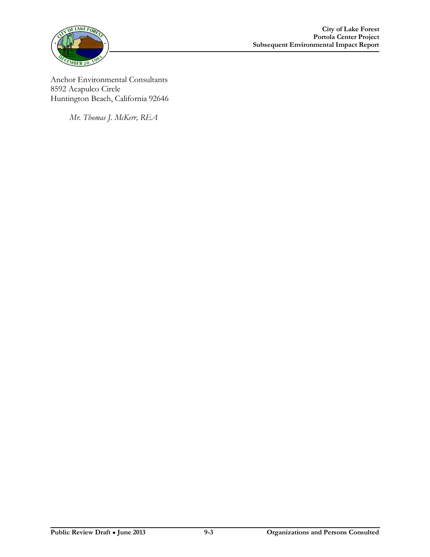

Anchor Environmental Consultants 8592 Acapulco Circle Huntington Beach, California 92646

*Mr. Thomas J. McKerr, REA*